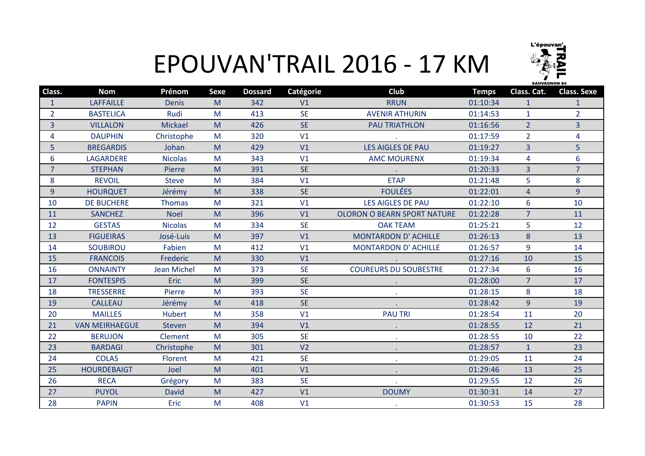

## EPOUVAN'TRAIL 2016 - 17 KM

| Class.         | <b>Nom</b>            | Prénom             | <b>Sexe</b> | <b>Dossard</b> | Catégorie      | <b>Club</b>                        | <b>Temps</b> | Class. Cat.    | <b>Class. Sexe</b> |
|----------------|-----------------------|--------------------|-------------|----------------|----------------|------------------------------------|--------------|----------------|--------------------|
| $\mathbf{1}$   | <b>LAFFAILLE</b>      | <b>Denis</b>       | M           | 342            | V1             | <b>RRUN</b>                        | 01:10:34     | 1              | 1                  |
| $\overline{2}$ | <b>BASTELICA</b>      | Rudi               | M           | 413            | <b>SE</b>      | <b>AVENIR ATHURIN</b>              | 01:14:53     | $\mathbf{1}$   | $\overline{2}$     |
| 3              | <b>VILLALON</b>       | <b>Mickael</b>     | M           | 426            | <b>SE</b>      | <b>PAU TRIATHLON</b>               | 01:16:56     | $\overline{2}$ | $\overline{3}$     |
| 4              | <b>DAUPHIN</b>        | Christophe         | M           | 320            | V1             |                                    | 01:17:59     | $\overline{2}$ | 4                  |
| 5              | <b>BREGARDIS</b>      | Johan              | M           | 429            | V1             | <b>LES AIGLES DE PAU</b>           | 01:19:27     | $\overline{3}$ | 5                  |
| 6              | <b>LAGARDERE</b>      | <b>Nicolas</b>     | M           | 343            | V1             | <b>AMC MOURENX</b>                 | 01:19:34     | 4              | 6                  |
| $\overline{7}$ | <b>STEPHAN</b>        | Pierre             | M           | 391            | <b>SE</b>      |                                    | 01:20:33     | $\overline{3}$ | $\overline{7}$     |
| 8              | <b>REVOIL</b>         | <b>Steve</b>       | M           | 384            | V1             | <b>ETAP</b>                        | 01:21:48     | 5              | 8                  |
| $\overline{9}$ | <b>HOURQUET</b>       | Jérémy             | M           | 338            | <b>SE</b>      | <b>FOULÉES</b>                     | 01:22:01     | $\overline{4}$ | 9                  |
| 10             | <b>DE BUCHERE</b>     | <b>Thomas</b>      | M           | 321            | V1             | <b>LES AIGLES DE PAU</b>           | 01:22:10     | 6              | 10                 |
| 11             | <b>SANCHEZ</b>        | <b>Noel</b>        | M           | 396            | V1             | <b>OLORON O BEARN SPORT NATURE</b> | 01:22:28     | $\overline{7}$ | 11                 |
| 12             | <b>GESTAS</b>         | <b>Nicolas</b>     | M           | 334            | <b>SE</b>      | <b>OAK TEAM</b>                    | 01:25:21     | 5              | 12                 |
| 13             | <b>FIGUEIRAS</b>      | José-Luis          | M           | 397            | V1             | <b>MONTARDON D' ACHILLE</b>        | 01:26:13     | 8              | 13                 |
| 14             | <b>SOUBIROU</b>       | Fabien             | M           | 412            | V <sub>1</sub> | <b>MONTARDON D' ACHILLE</b>        | 01:26:57     | 9              | 14                 |
| 15             | <b>FRANCOIS</b>       | Frederic           | M           | 330            | V1             |                                    | 01:27:16     | 10             | 15                 |
| 16             | <b>ONNAINTY</b>       | <b>Jean Michel</b> | M           | 373            | <b>SE</b>      | <b>COUREURS DU SOUBESTRE</b>       | 01:27:34     | 6              | 16                 |
| 17             | <b>FONTESPIS</b>      | <b>Eric</b>        | M           | 399            | <b>SE</b>      |                                    | 01:28:00     | $\overline{7}$ | 17                 |
| 18             | <b>TRESSERRE</b>      | Pierre             | M           | 393            | <b>SE</b>      |                                    | 01:28:15     | 8              | 18                 |
| 19             | <b>CALLEAU</b>        | Jérémy             | M           | 418            | <b>SE</b>      |                                    | 01:28:42     | $\overline{9}$ | 19                 |
| 20             | <b>MAILLES</b>        | <b>Hubert</b>      | M           | 358            | V1             | <b>PAU TRI</b>                     | 01:28:54     | 11             | 20                 |
| 21             | <b>VAN MEIRHAEGUE</b> | <b>Steven</b>      | M           | 394            | V1             |                                    | 01:28:55     | 12             | 21                 |
| 22             | <b>BERUJON</b>        | Clement            | M           | 305            | <b>SE</b>      |                                    | 01:28:55     | 10             | 22                 |
| 23             | <b>BARDAGI</b>        | Christophe         | M           | 301            | V <sub>2</sub> | $\bullet$                          | 01:28:57     | $\mathbf{1}$   | 23                 |
| 24             | <b>COLAS</b>          | Florent            | M           | 421            | <b>SE</b>      |                                    | 01:29:05     | 11             | 24                 |
| 25             | <b>HOURDEBAIGT</b>    | Joel               | M           | 401            | V1             |                                    | 01:29:46     | 13             | 25                 |
| 26             | <b>RECA</b>           | Grégory            | M           | 383            | <b>SE</b>      |                                    | 01:29:55     | 12             | 26                 |
| 27             | <b>PUYOL</b>          | <b>David</b>       | M           | 427            | V1             | <b>DOUMY</b>                       | 01:30:31     | 14             | 27                 |
| 28             | <b>PAPIN</b>          | <b>Eric</b>        | M           | 408            | V1             |                                    | 01:30:53     | 15             | 28                 |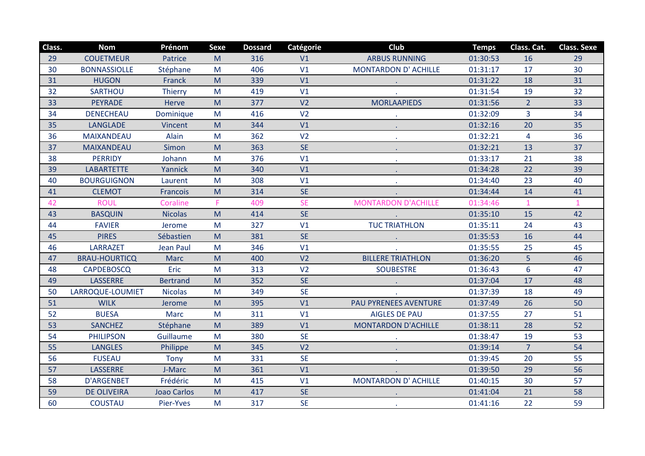| Class. | <b>Nom</b>           | Prénom             | <b>Sexe</b> | <b>Dossard</b> | Catégorie      | <b>Club</b>                 | <b>Temps</b> | Class. Cat.    | <b>Class. Sexe</b> |
|--------|----------------------|--------------------|-------------|----------------|----------------|-----------------------------|--------------|----------------|--------------------|
| 29     | <b>COUETMEUR</b>     | Patrice            | M           | 316            | V1             | <b>ARBUS RUNNING</b>        | 01:30:53     | 16             | 29                 |
| 30     | <b>BONNASSIOLLE</b>  | Stéphane           | M           | 406            | V1             | <b>MONTARDON D' ACHILLE</b> | 01:31:17     | 17             | 30                 |
| 31     | <b>HUGON</b>         | Franck             | M           | 339            | V1             |                             | 01:31:22     | 18             | 31                 |
| 32     | SARTHOU              | <b>Thierry</b>     | M           | 419            | V1             |                             | 01:31:54     | 19             | 32                 |
| 33     | <b>PEYRADE</b>       | Herve              | M           | 377            | V <sub>2</sub> | <b>MORLAAPIEDS</b>          | 01:31:56     | 2 <sup>1</sup> | 33                 |
| 34     | <b>DENECHEAU</b>     | Dominique          | M           | 416            | V <sub>2</sub> |                             | 01:32:09     | $\overline{3}$ | 34                 |
| 35     | <b>LANGLADE</b>      | Vincent            | M           | 344            | V1             |                             | 01:32:16     | 20             | 35                 |
| 36     | <b>MAIXANDEAU</b>    | Alain              | M           | 362            | V <sub>2</sub> |                             | 01:32:21     | 4              | 36                 |
| 37     | <b>MAIXANDEAU</b>    | Simon              | M           | 363            | <b>SE</b>      |                             | 01:32:21     | 13             | 37                 |
| 38     | <b>PERRIDY</b>       | Johann             | M           | 376            | V1             |                             | 01:33:17     | 21             | 38                 |
| 39     | <b>LABARTETTE</b>    | Yannick            | M           | 340            | V1             | $\mathbf{r}$                | 01:34:28     | 22             | 39                 |
| 40     | <b>BOURGUIGNON</b>   | Laurent            | M           | 308            | V1             |                             | 01:34:40     | 23             | 40                 |
| 41     | <b>CLEMOT</b>        | Francois           | M           | 314            | <b>SE</b>      |                             | 01:34:44     | 14             | 41                 |
| 42     | <b>ROUL</b>          | Coraline           | F.          | 409            | <b>SE</b>      | <b>MONTARDON D'ACHILLE</b>  | 01:34:46     | $\mathbf{1}$   | $\overline{1}$     |
| 43     | <b>BASQUIN</b>       | <b>Nicolas</b>     | M           | 414            | <b>SE</b>      |                             | 01:35:10     | 15             | 42                 |
| 44     | <b>FAVIER</b>        | Jerome             | M           | 327            | V <sub>1</sub> | <b>TUC TRIATHLON</b>        | 01:35:11     | 24             | 43                 |
| 45     | <b>PIRES</b>         | Sébastien          | M           | 381            | <b>SE</b>      |                             | 01:35:53     | 16             | 44                 |
| 46     | <b>LARRAZET</b>      | <b>Jean Paul</b>   | M           | 346            | V1             |                             | 01:35:55     | 25             | 45                 |
| 47     | <b>BRAU-HOURTICQ</b> | <b>Marc</b>        | M           | 400            | V <sub>2</sub> | <b>BILLERE TRIATHLON</b>    | 01:36:20     | 5              | 46                 |
| 48     | <b>CAPDEBOSCQ</b>    | Eric               | M           | 313            | V <sub>2</sub> | <b>SOUBESTRE</b>            | 01:36:43     | 6              | 47                 |
| 49     | <b>LASSERRE</b>      | <b>Bertrand</b>    | M           | 352            | <b>SE</b>      |                             | 01:37:04     | 17             | 48                 |
| 50     | LARROQUE-LOUMIET     | <b>Nicolas</b>     | M           | 349            | <b>SE</b>      |                             | 01:37:39     | 18             | 49                 |
| 51     | <b>WILK</b>          | Jerome             | M           | 395            | V1             | PAU PYRENEES AVENTURE       | 01:37:49     | 26             | 50                 |
| 52     | <b>BUESA</b>         | Marc               | M           | 311            | V1             | <b>AIGLES DE PAU</b>        | 01:37:55     | 27             | 51                 |
| 53     | <b>SANCHEZ</b>       | Stéphane           | M           | 389            | V1             | <b>MONTARDON D'ACHILLE</b>  | 01:38:11     | 28             | 52                 |
| 54     | <b>PHILIPSON</b>     | Guillaume          | M           | 380            | <b>SE</b>      |                             | 01:38:47     | 19             | 53                 |
| 55     | <b>LANGLES</b>       | Philippe           | M           | 345            | V <sub>2</sub> |                             | 01:39:14     | $\overline{7}$ | 54                 |
| 56     | <b>FUSEAU</b>        | <b>Tony</b>        | M           | 331            | <b>SE</b>      |                             | 01:39:45     | 20             | 55                 |
| 57     | <b>LASSERRE</b>      | J-Marc             | M           | 361            | V1             |                             | 01:39:50     | 29             | 56                 |
| 58     | <b>D'ARGENBET</b>    | Frédéric           | M           | 415            | V1             | MONTARDON D' ACHILLE        | 01:40:15     | 30             | 57                 |
| 59     | <b>DE OLIVEIRA</b>   | <b>Joao Carlos</b> | M           | 417            | <b>SE</b>      |                             | 01:41:04     | 21             | 58                 |
| 60     | <b>COUSTAU</b>       | Pier-Yves          | M           | 317            | <b>SE</b>      |                             | 01:41:16     | 22             | 59                 |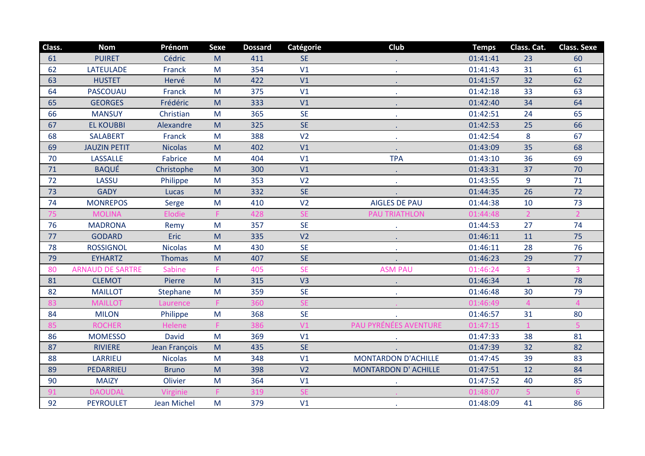| Class. | <b>Nom</b>              | Prénom         | <b>Sexe</b>                                                                                                | <b>Dossard</b> | Catégorie      | <b>Club</b>                 | <b>Temps</b> | Class. Cat.    | <b>Class. Sexe</b> |
|--------|-------------------------|----------------|------------------------------------------------------------------------------------------------------------|----------------|----------------|-----------------------------|--------------|----------------|--------------------|
| 61     | <b>PUIRET</b>           | Cédric         | M                                                                                                          | 411            | <b>SE</b>      |                             | 01:41:41     | 23             | 60                 |
| 62     | <b>LATEULADE</b>        | Franck         | M                                                                                                          | 354            | V1             |                             | 01:41:43     | 31             | 61                 |
| 63     | <b>HUSTET</b>           | Hervé          | M                                                                                                          | 422            | V1             |                             | 01:41:57     | 32             | 62                 |
| 64     | PASCOUAU                | Franck         | M                                                                                                          | 375            | V1             |                             | 01:42:18     | 33             | 63                 |
| 65     | <b>GEORGES</b>          | Frédéric       | M                                                                                                          | 333            | V <sub>1</sub> |                             | 01:42:40     | 34             | 64                 |
| 66     | <b>MANSUY</b>           | Christian      | M                                                                                                          | 365            | <b>SE</b>      | $\sim$                      | 01:42:51     | 24             | 65                 |
| 67     | <b>EL KOUBBI</b>        | Alexandre      | $\mathsf{M}% _{T}=\mathsf{M}_{T}\!\left( a,b\right) ,\ \mathsf{M}_{T}=\mathsf{M}_{T}\!\left( a,b\right) ,$ | 325            | <b>SE</b>      | $\bullet$                   | 01:42:53     | 25             | 66                 |
| 68     | <b>SALABERT</b>         | Franck         | M                                                                                                          | 388            | V <sub>2</sub> | $\mathbf{r}$                | 01:42:54     | 8              | 67                 |
| 69     | <b>JAUZIN PETIT</b>     | <b>Nicolas</b> | M                                                                                                          | 402            | V <sub>1</sub> |                             | 01:43:09     | 35             | 68                 |
| 70     | <b>LASSALLE</b>         | <b>Fabrice</b> | M                                                                                                          | 404            | V1             | <b>TPA</b>                  | 01:43:10     | 36             | 69                 |
| $71\,$ | <b>BAQUÉ</b>            | Christophe     | $\mathsf{M}% _{T}=\mathsf{M}_{T}\!\left( a,b\right) ,\ \mathsf{M}_{T}=\mathsf{M}_{T}\!\left( a,b\right) ,$ | 300            | V1             | $\bullet$                   | 01:43:31     | 37             | 70                 |
| 72     | LASSU                   | Philippe       | M                                                                                                          | 353            | V <sub>2</sub> |                             | 01:43:55     | 9              | 71                 |
| 73     | <b>GADY</b>             | Lucas          | M                                                                                                          | 332            | <b>SE</b>      |                             | 01:44:35     | 26             | 72                 |
| 74     | <b>MONREPOS</b>         | Serge          | M                                                                                                          | 410            | V <sub>2</sub> | <b>AIGLES DE PAU</b>        | 01:44:38     | 10             | 73                 |
| 75     | <b>MOLINA</b>           | <b>Elodie</b>  |                                                                                                            | 428            | <b>SE</b>      | <b>PAU TRIATHLON</b>        | 01:44:48     |                |                    |
| 76     | <b>MADRONA</b>          | Remy           | M                                                                                                          | 357            | <b>SE</b>      |                             | 01:44:53     | 27             | 74                 |
| 77     | <b>GODARD</b>           | Eric           | M                                                                                                          | 335            | V <sub>2</sub> |                             | 01:46:11     | 11             | 75                 |
| 78     | <b>ROSSIGNOL</b>        | <b>Nicolas</b> | M                                                                                                          | 430            | <b>SE</b>      |                             | 01:46:11     | 28             | 76                 |
| 79     | <b>EYHARTZ</b>          | <b>Thomas</b>  | M                                                                                                          | 407            | <b>SE</b>      |                             | 01:46:23     | 29             | 77                 |
| 80     | <b>ARNAUD DE SARTRE</b> | <b>Sabine</b>  | F                                                                                                          | 405            | <b>SE</b>      | <b>ASM PAU</b>              | 01:46:24     | $\overline{3}$ | $\overline{3}$     |
| 81     | <b>CLEMOT</b>           | Pierre         | M                                                                                                          | 315            | V <sub>3</sub> |                             | 01:46:34     | $\mathbf{1}$   | 78                 |
| 82     | <b>MAILLOT</b>          | Stephane       | ${\sf M}$                                                                                                  | 359            | <b>SE</b>      |                             | 01:46:48     | 30             | 79                 |
| 83     | <b>MAILLOT</b>          | Laurence       | F                                                                                                          | 360            | <b>SE</b>      |                             | 01:46:49     | $\overline{4}$ | $\overline{4}$     |
| 84     | <b>MILON</b>            | Philippe       | M                                                                                                          | 368            | <b>SE</b>      |                             | 01:46:57     | 31             | 80                 |
| 85     | <b>ROCHER</b>           | Helene         | F                                                                                                          | 386            | V1             | PAU PYRÉNÉES AVENTURE       | 01:47:15     |                | 5.                 |
| 86     | <b>MOMESSO</b>          | David          | M                                                                                                          | 369            | V1             | $\bullet$                   | 01:47:33     | 38             | 81                 |
| 87     | <b>RIVIERE</b>          | Jean François  | M                                                                                                          | 435            | <b>SE</b>      |                             | 01:47:39     | 32             | 82                 |
| 88     | LARRIEU                 | <b>Nicolas</b> | M                                                                                                          | 348            | V1             | <b>MONTARDON D'ACHILLE</b>  | 01:47:45     | 39             | 83                 |
| 89     | PEDARRIEU               | <b>Bruno</b>   | M                                                                                                          | 398            | V <sub>2</sub> | <b>MONTARDON D' ACHILLE</b> | 01:47:51     | 12             | 84                 |
| 90     | <b>MAIZY</b>            | Olivier        | ${\sf M}$                                                                                                  | 364            | V1             | $\mathcal{L}$               | 01:47:52     | 40             | 85                 |
| 91     | <b>DAOUDAL</b>          | Virginie       | F                                                                                                          | 319            | <b>SE</b>      |                             | 01:48:07     | 5              | 6                  |
| 92     | <b>PEYROULET</b>        | Jean Michel    | M                                                                                                          | 379            | V1             |                             | 01:48:09     | 41             | 86                 |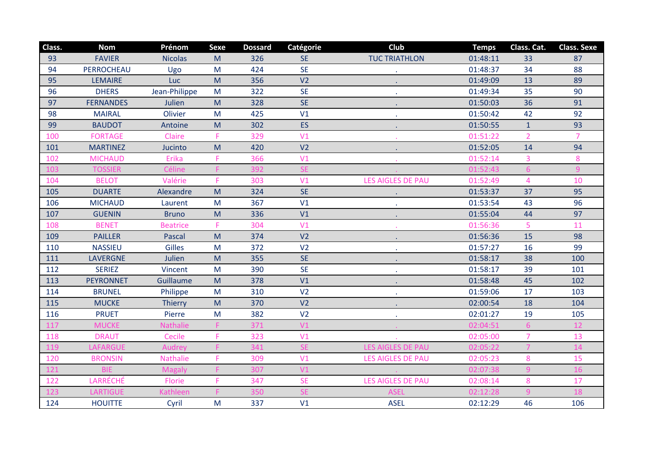| Class. | <b>Nom</b>       | Prénom          | <b>Sexe</b> | <b>Dossard</b> | Catégorie      | <b>Club</b>              | <b>Temps</b> | Class. Cat.    | <b>Class. Sexe</b> |
|--------|------------------|-----------------|-------------|----------------|----------------|--------------------------|--------------|----------------|--------------------|
| 93     | <b>FAVIER</b>    | <b>Nicolas</b>  | M           | 326            | <b>SE</b>      | <b>TUC TRIATHLON</b>     | 01:48:11     | 33             | 87                 |
| 94     | PERROCHEAU       | Ugo             | M           | 424            | <b>SE</b>      |                          | 01:48:37     | 34             | 88                 |
| 95     | <b>LEMAIRE</b>   | Luc             | M           | 356            | V <sub>2</sub> |                          | 01:49:09     | 13             | 89                 |
| 96     | <b>DHERS</b>     | Jean-Philippe   | M           | 322            | <b>SE</b>      | $\mathbf{r}$             | 01:49:34     | 35             | 90                 |
| 97     | <b>FERNANDES</b> | Julien          | M           | 328            | <b>SE</b>      | $\ddot{\phantom{0}}$     | 01:50:03     | 36             | 91                 |
| 98     | <b>MAIRAL</b>    | Olivier         | M           | 425            | V1             | $\sim$                   | 01:50:42     | 42             | 92                 |
| 99     | <b>BAUDOT</b>    | Antoine         | M           | 302            | ES             | $\sim$                   | 01:50:55     | $\mathbf{1}$   | 93                 |
| 100    | <b>FORTAGE</b>   | Claire          | F           | 329            | V1             |                          | 01:51:22     | $\overline{2}$ | $\overline{7}$     |
| 101    | <b>MARTINEZ</b>  | Jucinto         | M           | 420            | V <sub>2</sub> | $\sim$                   | 01:52:05     | 14             | 94                 |
| 102    | <b>MICHAUD</b>   | Erika           | F           | 366            | V <sub>1</sub> |                          | 01:52:14     | 3              | 8                  |
| 103    | <b>TOSSIER</b>   | Céline          | F           | 392            | <b>SE</b>      |                          | 01:52:43     | $6\phantom{1}$ | $\overline{9}$     |
| 104    | <b>BELOT</b>     | Valérie         | F           | 303            | V1             | <b>LES AIGLES DE PAU</b> | 01:52:49     | $\overline{4}$ | 10                 |
| 105    | <b>DUARTE</b>    | Alexandre       | M           | 324            | <b>SE</b>      |                          | 01:53:37     | 37             | 95                 |
| 106    | <b>MICHAUD</b>   | Laurent         | M           | 367            | V1             |                          | 01:53:54     | 43             | 96                 |
| 107    | <b>GUENIN</b>    | <b>Bruno</b>    | M           | 336            | V1             | $\bullet$                | 01:55:04     | 44             | 97                 |
| 108    | <b>BENET</b>     | <b>Beatrice</b> | F           | 304            | V <sub>1</sub> |                          | 01:56:36     | 5              | 11                 |
| 109    | <b>PAILLER</b>   | <b>Pascal</b>   | M           | 374            | V <sub>2</sub> |                          | 01:56:36     | 15             | 98                 |
| 110    | <b>NASSIEU</b>   | <b>Gilles</b>   | M           | 372            | V <sub>2</sub> |                          | 01:57:27     | 16             | 99                 |
| 111    | <b>LAVERGNE</b>  | Julien          | M           | 355            | <b>SE</b>      |                          | 01:58:17     | 38             | 100                |
| 112    | <b>SERIEZ</b>    | Vincent         | M           | 390            | <b>SE</b>      |                          | 01:58:17     | 39             | 101                |
| 113    | <b>PEYRONNET</b> | Guillaume       | M           | 378            | V1             |                          | 01:58:48     | 45             | 102                |
| 114    | <b>BRUNEL</b>    | Philippe        | M           | 310            | V <sub>2</sub> | $\bullet$                | 01:59:06     | 17             | 103                |
| 115    | <b>MUCKE</b>     | <b>Thierry</b>  | M           | 370            | V <sub>2</sub> |                          | 02:00:54     | 18             | 104                |
| 116    | <b>PRUET</b>     | Pierre          | M           | 382            | V <sub>2</sub> | $\sim$                   | 02:01:27     | 19             | 105                |
| 117    | <b>MUCKE</b>     | Nathalie        | F           | 371            | V1             |                          | 02:04:51     | 6              | 12                 |
| 118    | <b>DRAUT</b>     | Cecile          | F           | 323            | V1             |                          | 02:05:00     | $\overline{7}$ | 13                 |
| 119    | LAFARGUE         | Audrey          |             | 341            | <b>SE</b>      | <b>LES AIGLES DE PAU</b> | 02:05:22     | 7              | 14                 |
| 120    | <b>BRONSIN</b>   | <b>Nathalie</b> | F           | 309            | V <sub>1</sub> | <b>LES AIGLES DE PAU</b> | 02:05:23     | 8              | 15                 |
| 121    | <b>BIE</b>       | <b>Magaly</b>   | F           | 307            | V1             |                          | 02:07:38     | $\overline{9}$ | 16                 |
| 122    | LARRÉCHÉ         | Florie          | F           | 347            | <b>SE</b>      | <b>LES AIGLES DE PAU</b> | 02:08:14     | 8              | 17                 |
| 123    | <b>LARTIGUE</b>  | <b>Kathleen</b> | F           | 350            | <b>SE</b>      | <b>ASEL</b>              | 02:12:28     | 9              | 18                 |
| 124    | <b>HOUITTE</b>   | Cyril           | M           | 337            | V1             | <b>ASEL</b>              | 02:12:29     | 46             | 106                |